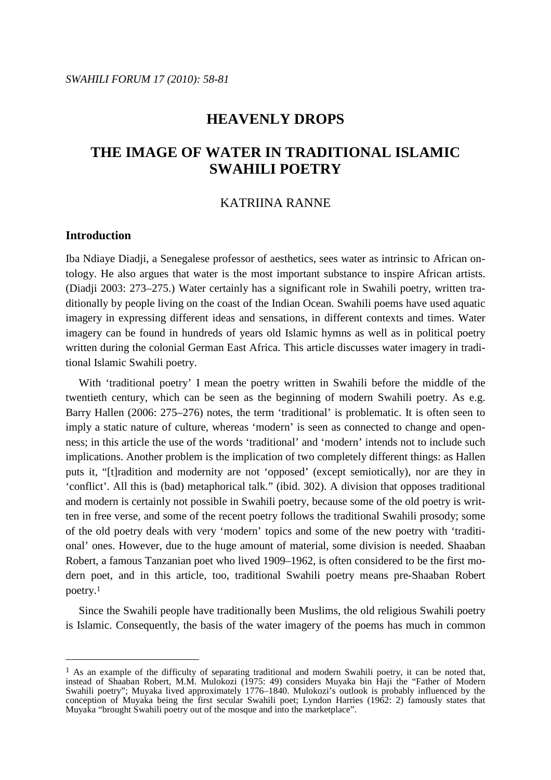## **HEAVENLY DROPS**

# **THE IMAGE OF WATER IN TRADITIONAL ISLAMIC SWAHILI POETRY**

## KATRIINA RANNE

## **Introduction**

 $\overline{a}$ 

Iba Ndiaye Diadji, a Senegalese professor of aesthetics, sees water as intrinsic to African ontology. He also argues that water is the most important substance to inspire African artists. (Diadji 2003: 273–275.) Water certainly has a significant role in Swahili poetry, written traditionally by people living on the coast of the Indian Ocean. Swahili poems have used aquatic imagery in expressing different ideas and sensations, in different contexts and times. Water imagery can be found in hundreds of years old Islamic hymns as well as in political poetry written during the colonial German East Africa. This article discusses water imagery in traditional Islamic Swahili poetry.

 With 'traditional poetry' I mean the poetry written in Swahili before the middle of the twentieth century, which can be seen as the beginning of modern Swahili poetry. As e.g. Barry Hallen (2006: 275–276) notes, the term 'traditional' is problematic. It is often seen to imply a static nature of culture, whereas 'modern' is seen as connected to change and openness; in this article the use of the words 'traditional' and 'modern' intends not to include such implications. Another problem is the implication of two completely different things: as Hallen puts it, "[t]radition and modernity are not 'opposed' (except semiotically), nor are they in 'conflict'. All this is (bad) metaphorical talk." (ibid. 302). A division that opposes traditional and modern is certainly not possible in Swahili poetry, because some of the old poetry is written in free verse, and some of the recent poetry follows the traditional Swahili prosody; some of the old poetry deals with very 'modern' topics and some of the new poetry with 'traditional' ones. However, due to the huge amount of material, some division is needed. Shaaban Robert, a famous Tanzanian poet who lived 1909–1962, is often considered to be the first modern poet, and in this article, too, traditional Swahili poetry means pre-Shaaban Robert poetry.<sup>1</sup>

 Since the Swahili people have traditionally been Muslims, the old religious Swahili poetry is Islamic. Consequently, the basis of the water imagery of the poems has much in common

<sup>&</sup>lt;sup>1</sup> As an example of the difficulty of separating traditional and modern Swahili poetry, it can be noted that, instead of Shaaban Robert, M.M. Mulokozi (1975: 49) considers Muyaka bin Haji the "Father of Modern Swahili poetry"; Muyaka lived approximately 1776–1840. Mulokozi's outlook is probably influenced by the conception of Muyaka being the first secular Swahili poet; Lyndon Harries (1962: 2) famously states that Muyaka "brought Swahili poetry out of the mosque and into the marketplace".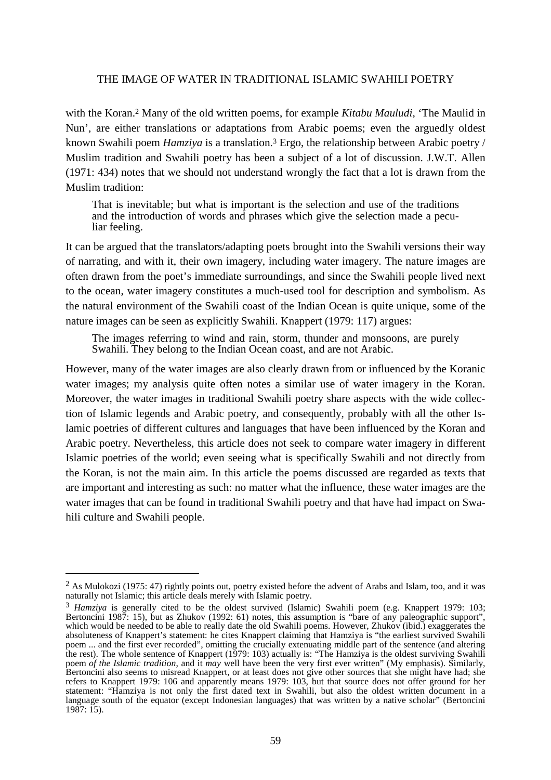with the Koran.2 Many of the old written poems, for example *Kitabu Mauludi*, 'The Maulid in Nun', are either translations or adaptations from Arabic poems; even the arguedly oldest known Swahili poem *Hamziya* is a translation.3 Ergo, the relationship between Arabic poetry / Muslim tradition and Swahili poetry has been a subject of a lot of discussion. J.W.T. Allen (1971: 434) notes that we should not understand wrongly the fact that a lot is drawn from the Muslim tradition:

That is inevitable; but what is important is the selection and use of the traditions and the introduction of words and phrases which give the selection made a peculiar feeling.

It can be argued that the translators/adapting poets brought into the Swahili versions their way of narrating, and with it, their own imagery, including water imagery. The nature images are often drawn from the poet's immediate surroundings, and since the Swahili people lived next to the ocean, water imagery constitutes a much-used tool for description and symbolism. As the natural environment of the Swahili coast of the Indian Ocean is quite unique, some of the nature images can be seen as explicitly Swahili. Knappert (1979: 117) argues:

The images referring to wind and rain, storm, thunder and monsoons, are purely Swahili. They belong to the Indian Ocean coast, and are not Arabic.

However, many of the water images are also clearly drawn from or influenced by the Koranic water images; my analysis quite often notes a similar use of water imagery in the Koran. Moreover, the water images in traditional Swahili poetry share aspects with the wide collection of Islamic legends and Arabic poetry, and consequently, probably with all the other Islamic poetries of different cultures and languages that have been influenced by the Koran and Arabic poetry. Nevertheless, this article does not seek to compare water imagery in different Islamic poetries of the world; even seeing what is specifically Swahili and not directly from the Koran, is not the main aim. In this article the poems discussed are regarded as texts that are important and interesting as such: no matter what the influence, these water images are the water images that can be found in traditional Swahili poetry and that have had impact on Swahili culture and Swahili people.

<sup>&</sup>lt;sup>2</sup> As Mulokozi (1975: 47) rightly points out, poetry existed before the advent of Arabs and Islam, too, and it was naturally not Islamic; this article deals merely with Islamic poetry.

<sup>&</sup>lt;sup>3</sup> *Hamziya* is generally cited to be the oldest survived (Islamic) Swahili poem (e.g. Knappert 1979: 103; Bertoncini 1987: 15), but as Zhukov (1992: 61) notes, this assumption is "bare of any paleographic support", which would be needed to be able to really date the old Swahili poems. However, Zhukov (ibid.) exaggerates the absoluteness of Knappert's statement: he cites Knappert claiming that Hamziya is "the earliest survived Swahili poem ... and the first ever recorded", omitting the crucially extenuating middle part of the sentence (and altering the rest). The whole sentence of Knappert (1979: 103) actually is: "The Hamziya is the oldest surviving Swahili poem *of the Islamic tradition*, and it *may* well have been the very first ever written" (My emphasis). Similarly, Bertoncini also seems to misread Knappert, or at least does not give other sources that she might have had; she refers to Knappert 1979: 106 and apparently means 1979: 103, but that source does not offer ground for her statement: "Hamziya is not only the first dated text in Swahili, but also the oldest written document in a language south of the equator (except Indonesian languages) that was written by a native scholar" (Bertoncini  $1987: 15$ ).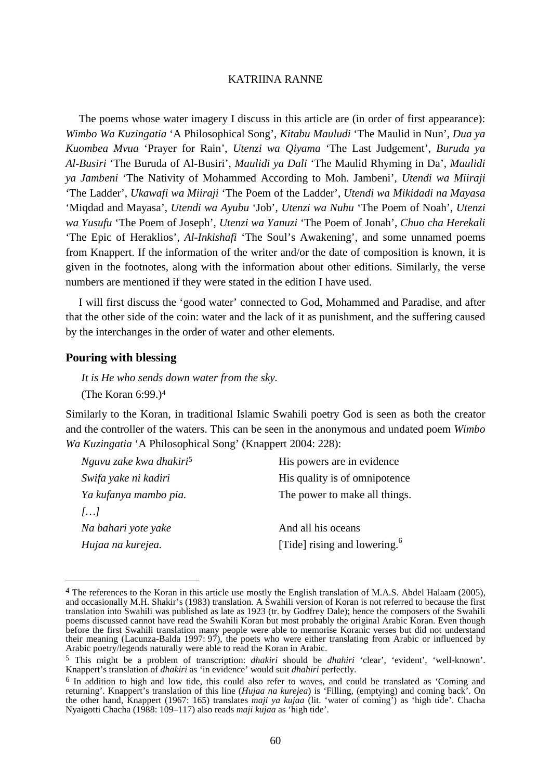The poems whose water imagery I discuss in this article are (in order of first appearance): *Wimbo Wa Kuzingatia* 'A Philosophical Song', *Kitabu Mauludi* 'The Maulid in Nun', *Dua ya Kuombea Mvua* 'Prayer for Rain', *Utenzi wa Qiyama* 'The Last Judgement', *Buruda ya Al-Busiri* 'The Buruda of Al-Busiri', *Maulidi ya Dali* 'The Maulid Rhyming in Da', *Maulidi ya Jambeni* 'The Nativity of Mohammed According to Moh. Jambeni', *Utendi wa Miiraji* 'The Ladder', *Ukawafi wa Miiraji* 'The Poem of the Ladder', *Utendi wa Mikidadi na Mayasa* 'Miqdad and Mayasa', *Utendi wa Ayubu* 'Job', *Utenzi wa Nuhu* 'The Poem of Noah', *Utenzi wa Yusufu* 'The Poem of Joseph', *Utenzi wa Yanuzi* 'The Poem of Jonah', *Chuo cha Herekali* 'The Epic of Heraklios', *Al-Inkishafi* 'The Soul's Awakening', and some unnamed poems from Knappert. If the information of the writer and/or the date of composition is known, it is given in the footnotes, along with the information about other editions. Similarly, the verse numbers are mentioned if they were stated in the edition I have used.

 I will first discuss the 'good water' connected to God, Mohammed and Paradise, and after that the other side of the coin: water and the lack of it as punishment, and the suffering caused by the interchanges in the order of water and other elements.

#### **Pouring with blessing**

 $\overline{a}$ 

*It is He who sends down water from the sky.*  (The Koran 6:99.)<sup>4</sup>

Similarly to the Koran, in traditional Islamic Swahili poetry God is seen as both the creator and the controller of the waters. This can be seen in the anonymous and undated poem *Wimbo Wa Kuzingatia* 'A Philosophical Song' (Knappert 2004: 228):

| Nguvu zake kwa dhakiri <sup>5</sup> | His powers are in evidence               |
|-------------------------------------|------------------------------------------|
| Swifa yake ni kadiri                | His quality is of omnipotence.           |
| Ya kufanya mambo pia.               | The power to make all things.            |
| $\left[ \ldots \right]$             |                                          |
| Na bahari yote yake                 | And all his oceans                       |
| Hujaa na kurejea.                   | [Tide] rising and lowering. <sup>6</sup> |
|                                     |                                          |

<sup>&</sup>lt;sup>4</sup> The references to the Koran in this article use mostly the English translation of M.A.S. Abdel Halaam (2005), and occasionally M.H. Shakir's (1983) translation. A Swahili version of Koran is not referred to because the first translation into Swahili was published as late as 1923 (tr. by Godfrey Dale); hence the composers of the Swahili poems discussed cannot have read the Swahili Koran but most probably the original Arabic Koran. Even though before the first Swahili translation many people were able to memorise Koranic verses but did not understand their meaning (Lacunza-Balda 1997: 97), the poets who were either translating from Arabic or influenced by Arabic poetry/legends naturally were able to read the Koran in Arabic.

<sup>5</sup> This might be a problem of transcription: *dhakiri* should be *dhahiri* 'clear', 'evident', 'well-known'. Knappert's translation of *dhakiri* as 'in evidence' would suit *dhahiri* perfectly.

<sup>&</sup>lt;sup>6</sup> In addition to high and low tide, this could also refer to waves, and could be translated as 'Coming and returning'. Knappert's translation of this line (*Hujaa na kurejea*) is 'Filling, (emptying) and coming back'. On the other hand, Knappert (1967: 165) translates *maji ya kujaa* (lit. 'water of coming') as 'high tide'. Chacha Nyaigotti Chacha (1988: 109–117) also reads *maji kujaa* as 'high tide'.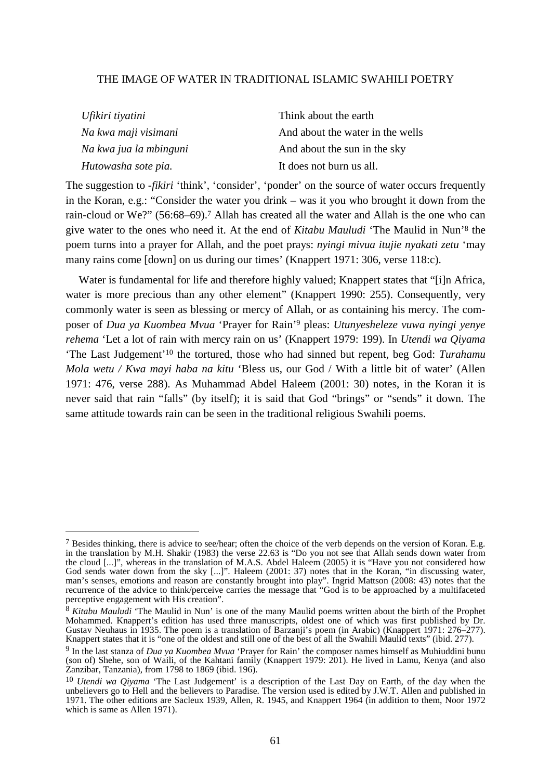| Ufikiri tiyatini       | Think about the earth            |
|------------------------|----------------------------------|
| Na kwa maji visimani   | And about the water in the wells |
| Na kwa jua la mbinguni | And about the sun in the sky     |
| Hutowasha sote pia.    | It does not burn us all.         |

The suggestion to -*fikiri* 'think', 'consider', 'ponder' on the source of water occurs frequently in the Koran, e.g.: "Consider the water you drink – was it you who brought it down from the rain-cloud or We?" (56:68–69).7 Allah has created all the water and Allah is the one who can give water to the ones who need it. At the end of *Kitabu Mauludi* 'The Maulid in Nun'8 the poem turns into a prayer for Allah, and the poet prays: *nyingi mivua itujie nyakati zetu* 'may many rains come [down] on us during our times' (Knappert 1971: 306, verse 118:c).

Water is fundamental for life and therefore highly valued; Knappert states that "[i]n Africa, water is more precious than any other element" (Knappert 1990: 255). Consequently, very commonly water is seen as blessing or mercy of Allah, or as containing his mercy. The composer of *Dua ya Kuombea Mvua* 'Prayer for Rain'9 pleas: *Utunyesheleze vuwa nyingi yenye rehema* 'Let a lot of rain with mercy rain on us' (Knappert 1979: 199). In *Utendi wa Qiyama* 'The Last Judgement'10 the tortured, those who had sinned but repent, beg God: *Turahamu Mola wetu / Kwa mayi haba na kitu* 'Bless us, our God / With a little bit of water' (Allen 1971: 476, verse 288). As Muhammad Abdel Haleem (2001: 30) notes, in the Koran it is never said that rain "falls" (by itself); it is said that God "brings" or "sends" it down. The same attitude towards rain can be seen in the traditional religious Swahili poems.

<sup>&</sup>lt;sup>7</sup> Besides thinking, there is advice to see/hear; often the choice of the verb depends on the version of Koran. E.g. in the translation by M.H. Shakir (1983) the verse 22.63 is "Do you not see that Allah sends down water from the cloud [...]", whereas in the translation of M.A.S. Abdel Haleem (2005) it is "Have you not considered how God sends water down from the sky [...]". Haleem (2001: 37) notes that in the Koran, "in discussing water, man's senses, emotions and reason are constantly brought into play". Ingrid Mattson (2008: 43) notes that the recurrence of the advice to think/perceive carries the message that "God is to be approached by a multifaceted perceptive engagement with His creation".

<sup>8</sup> *Kitabu Mauludi* 'The Maulid in Nun' is one of the many Maulid poems written about the birth of the Prophet Mohammed. Knappert's edition has used three manuscripts, oldest one of which was first published by Dr. Gustav Neuhaus in 1935. The poem is a translation of Barzanji's poem (in Arabic) (Knappert 1971: 276–277). Knappert states that it is "one of the oldest and still one of the best of all the Swahili Maulid texts" (ibid. 277).

<sup>9</sup> In the last stanza of *Dua ya Kuombea Mvua* 'Prayer for Rain' the composer names himself as Muhiuddini bunu (son of) Shehe, son of Waili, of the Kahtani family (Knappert 1979: 201). He lived in Lamu, Kenya (and also Zanzibar, Tanzania), from 1798 to 1869 (ibid. 196).

<sup>10</sup> *Utendi wa Qiyama* 'The Last Judgement' is a description of the Last Day on Earth, of the day when the unbelievers go to Hell and the believers to Paradise. The version used is edited by J.W.T. Allen and published in 1971. The other editions are Sacleux 1939, Allen, R. 1945, and Knappert 1964 (in addition to them, Noor 1972 which is same as Allen 1971).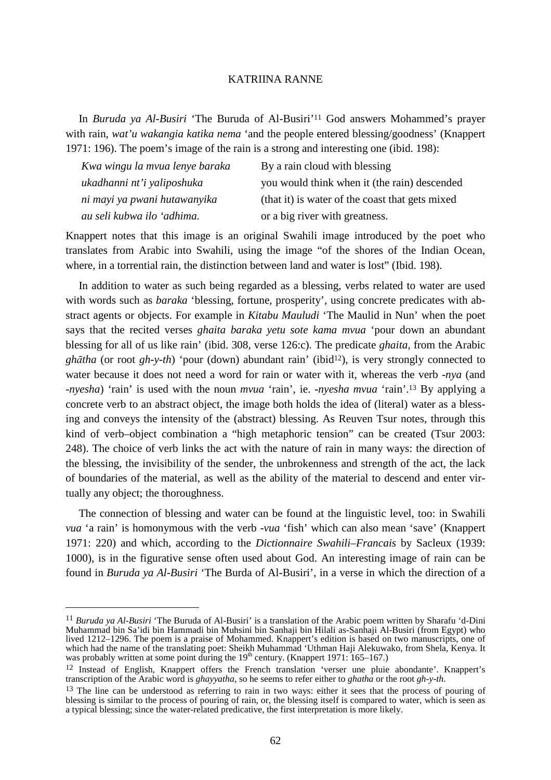In *Buruda ya Al-Busiri* 'The Buruda of Al-Busiri'11 God answers Mohammed's prayer with rain, *wat'u wakangia katika nema* 'and the people entered blessing/goodness' (Knappert 1971: 196). The poem's image of the rain is a strong and interesting one (ibid. 198):

| Kwa wingu la mvua lenye baraka | By a rain cloud with blessing                   |
|--------------------------------|-------------------------------------------------|
| ukadhanni nt'i yaliposhuka     | you would think when it (the rain) descended    |
| ni mayi ya pwani hutawanyika   | (that it) is water of the coast that gets mixed |
| au seli kubwa ilo 'adhima.     | or a big river with greatness.                  |

Knappert notes that this image is an original Swahili image introduced by the poet who translates from Arabic into Swahili, using the image "of the shores of the Indian Ocean, where, in a torrential rain, the distinction between land and water is lost" (Ibid. 198).

 In addition to water as such being regarded as a blessing, verbs related to water are used with words such as *baraka* 'blessing, fortune, prosperity', using concrete predicates with abstract agents or objects. For example in *Kitabu Mauludi* 'The Maulid in Nun' when the poet says that the recited verses *ghaita baraka yetu sote kama mvua* 'pour down an abundant blessing for all of us like rain' (ibid. 308, verse 126:c). The predicate *ghaita*, from the Arabic *ghātha* (or root *gh-y-th*) 'pour (down) abundant rain' (ibid<sup>12</sup>), is very strongly connected to water because it does not need a word for rain or water with it, whereas the verb -*nya* (and -*nyesha*) 'rain' is used with the noun *mvua* 'rain', ie. -*nyesha mvua* 'rain'.13 By applying a concrete verb to an abstract object, the image both holds the idea of (literal) water as a blessing and conveys the intensity of the (abstract) blessing. As Reuven Tsur notes, through this kind of verb–object combination a "high metaphoric tension" can be created (Tsur 2003: 248). The choice of verb links the act with the nature of rain in many ways: the direction of the blessing, the invisibility of the sender, the unbrokenness and strength of the act, the lack of boundaries of the material, as well as the ability of the material to descend and enter virtually any object; the thoroughness.

 The connection of blessing and water can be found at the linguistic level, too: in Swahili *vua* 'a rain' is homonymous with the verb -*vua* 'fish' which can also mean 'save' (Knappert 1971: 220) and which, according to the *Dictionnaire Swahili–Francais* by Sacleux (1939: 1000), is in the figurative sense often used about God. An interesting image of rain can be found in *Buruda ya Al-Busiri* 'The Burda of Al-Busiri', in a verse in which the direction of a

<sup>11</sup> *Buruda ya Al-Busiri* 'The Buruda of Al-Busiri' is a translation of the Arabic poem written by Sharafu 'd-Dini Muhammad bin Sa'idi bin Hammadi bin Muhsini bin Sanhaji bin Hilali as-Sanhaji Al-Busiri (from Egypt) who lived 1212–1296. The poem is a praise of Mohammed. Knappert's edition is based on two manuscripts, one of which had the name of the translating poet: Sheikh Muhammad 'Uthman Haji Alekuwako, from Shela, Kenya. It was probably written at some point during the  $19<sup>th</sup>$  century. (Knappert 1971: 165–167.)

<sup>12</sup> Instead of English, Knappert offers the French translation 'verser une pluie abondante'. Knappert's transcription of the Arabic word is *ghayyatha*, so he seems to refer either to *ghatha* or the root *gh-y-th*.

<sup>&</sup>lt;sup>13</sup> The line can be understood as referring to rain in two ways: either it sees that the process of pouring of blessing is similar to the process of pouring of rain, or, the blessing itself is compared to water, which is seen as a typical blessing; since the water-related predicative, the first interpretation is more likely.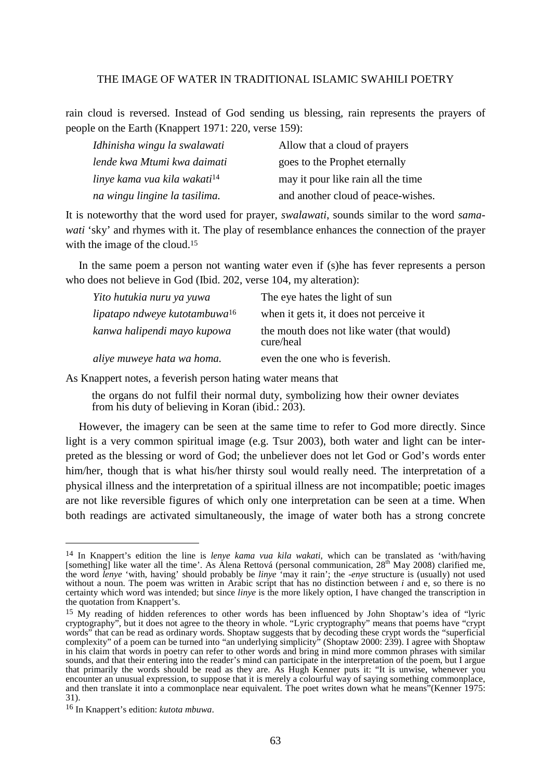rain cloud is reversed. Instead of God sending us blessing, rain represents the prayers of people on the Earth (Knappert 1971: 220, verse 159):

| Idhinisha wingu la swalawati             | Allow that a cloud of prayers      |
|------------------------------------------|------------------------------------|
| lende kwa Mtumi kwa daimati              | goes to the Prophet eternally      |
| linye kama vua kila wakati <sup>14</sup> | may it pour like rain all the time |
| na wingu lingine la tasilima.            | and another cloud of peace-wishes. |

It is noteworthy that the word used for prayer, *swalawati*, sounds similar to the word *samawati* 'sky' and rhymes with it. The play of resemblance enhances the connection of the prayer with the image of the cloud.<sup>15</sup>

 In the same poem a person not wanting water even if (s)he has fever represents a person who does not believe in God (Ibid. 202, verse 104, my alteration):

| Yito hutukia nuru ya yuwa        | The eye hates the light of sun                          |
|----------------------------------|---------------------------------------------------------|
| lipatapo ndweye kutotambuwa $16$ | when it gets it, it does not perceive it                |
| kanwa halipendi mayo kupowa      | the mouth does not like water (that would)<br>cure/heal |
| aliye muweye hata wa homa.       | even the one who is feverish.                           |

As Knappert notes, a feverish person hating water means that

the organs do not fulfil their normal duty, symbolizing how their owner deviates from his duty of believing in Koran (ibid.: 203).

 However, the imagery can be seen at the same time to refer to God more directly. Since light is a very common spiritual image (e.g. Tsur 2003), both water and light can be interpreted as the blessing or word of God; the unbeliever does not let God or God's words enter him/her, though that is what his/her thirsty soul would really need. The interpretation of a physical illness and the interpretation of a spiritual illness are not incompatible; poetic images are not like reversible figures of which only one interpretation can be seen at a time. When both readings are activated simultaneously, the image of water both has a strong concrete

<sup>14</sup> In Knappert's edition the line is *lenye kama vua kila wakati*, which can be translated as 'with/having [something] like water all the time'. As Alena Rettová (personal communication, 28<sup>th</sup> May 2008) clarified me, the word *lenye* 'with, having' should probably be *linye* 'may it rain'; the -*enye* structure is (usually) not used without a noun. The poem was written in Arabic script that has no distinction between *i* and e, so there is no certainty which word was intended; but since *linye* is the more likely option, I have changed the transcription in the quotation from Knappert's.

<sup>15</sup> My reading of hidden references to other words has been influenced by John Shoptaw's idea of "lyric cryptography", but it does not agree to the theory in whole. "Lyric cryptography" means that poems have "crypt words" that can be read as ordinary words. Shoptaw suggests that by decoding these crypt words the "superficial complexity" of a poem can be turned into "an underlying simplicity" (Shoptaw 2000: 239). I agree with Shoptaw in his claim that words in poetry can refer to other words and bring in mind more common phrases with similar sounds, and that their entering into the reader's mind can participate in the interpretation of the poem, but I argue that primarily the words should be read as they are. As Hugh Kenner puts it: "It is unwise, whenever you encounter an unusual expression, to suppose that it is merely a colourful way of saying something commonplace, and then translate it into a commonplace near equivalent. The poet writes down what he means"(Kenner 1975: 31).

<sup>16</sup> In Knappert's edition: *kutota mbuwa*.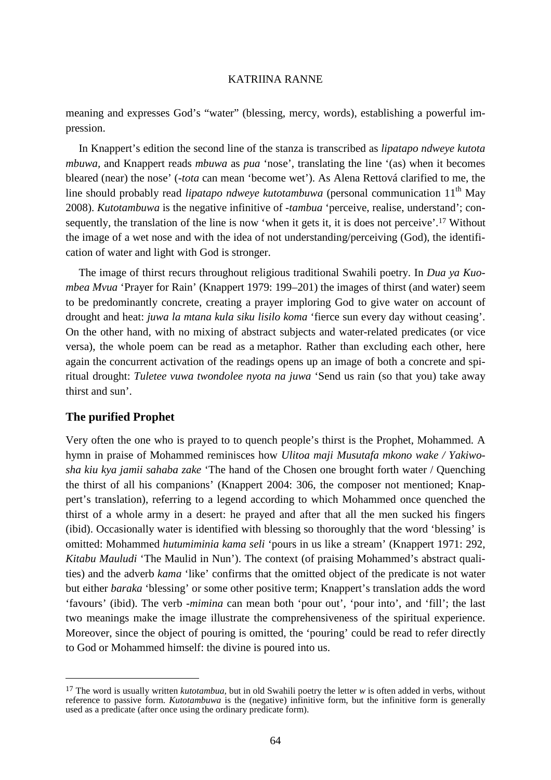meaning and expresses God's "water" (blessing, mercy, words), establishing a powerful impression.

 In Knappert's edition the second line of the stanza is transcribed as *lipatapo ndweye kutota mbuwa,* and Knappert reads *mbuwa* as *pua* 'nose', translating the line '(as) when it becomes bleared (near) the nose' (-*tota* can mean 'become wet'). As Alena Rettová clarified to me, the line should probably read *lipatapo ndweye kutotambuwa* (personal communication 11<sup>th</sup> May 2008). *Kutotambuwa* is the negative infinitive of -*tambua* 'perceive, realise, understand'; consequently, the translation of the line is now 'when it gets it, it is does not perceive'.17 Without the image of a wet nose and with the idea of not understanding/perceiving (God), the identification of water and light with God is stronger.

 The image of thirst recurs throughout religious traditional Swahili poetry. In *Dua ya Kuombea Mvua* 'Prayer for Rain' (Knappert 1979: 199–201) the images of thirst (and water) seem to be predominantly concrete, creating a prayer imploring God to give water on account of drought and heat: *juwa la mtana kula siku lisilo koma* 'fierce sun every day without ceasing'. On the other hand, with no mixing of abstract subjects and water-related predicates (or vice versa), the whole poem can be read as a metaphor. Rather than excluding each other, here again the concurrent activation of the readings opens up an image of both a concrete and spiritual drought: *Tuletee vuwa twondolee nyota na juwa* 'Send us rain (so that you) take away thirst and sun'.

## **The purified Prophet**

 $\overline{a}$ 

Very often the one who is prayed to to quench people's thirst is the Prophet, Mohammed. A hymn in praise of Mohammed reminisces how *Ulitoa maji Musutafa mkono wake / Yakiwosha kiu kya jamii sahaba zake* 'The hand of the Chosen one brought forth water / Quenching the thirst of all his companions' (Knappert 2004: 306, the composer not mentioned; Knappert's translation), referring to a legend according to which Mohammed once quenched the thirst of a whole army in a desert: he prayed and after that all the men sucked his fingers (ibid). Occasionally water is identified with blessing so thoroughly that the word 'blessing' is omitted: Mohammed *hutumiminia kama seli* 'pours in us like a stream' (Knappert 1971: 292, *Kitabu Mauludi* 'The Maulid in Nun'). The context (of praising Mohammed's abstract qualities) and the adverb *kama* 'like' confirms that the omitted object of the predicate is not water but either *baraka* 'blessing' or some other positive term; Knappert's translation adds the word 'favours' (ibid). The verb -*mimina* can mean both 'pour out', 'pour into', and 'fill'; the last two meanings make the image illustrate the comprehensiveness of the spiritual experience. Moreover, since the object of pouring is omitted, the 'pouring' could be read to refer directly to God or Mohammed himself: the divine is poured into us.

<sup>&</sup>lt;sup>17</sup> The word is usually written *kutotambua*, but in old Swahili poetry the letter  $w$  is often added in verbs, without reference to passive form. *Kutotambuwa* is the (negative) infinitive form, but the infinitive form is generally used as a predicate (after once using the ordinary predicate form).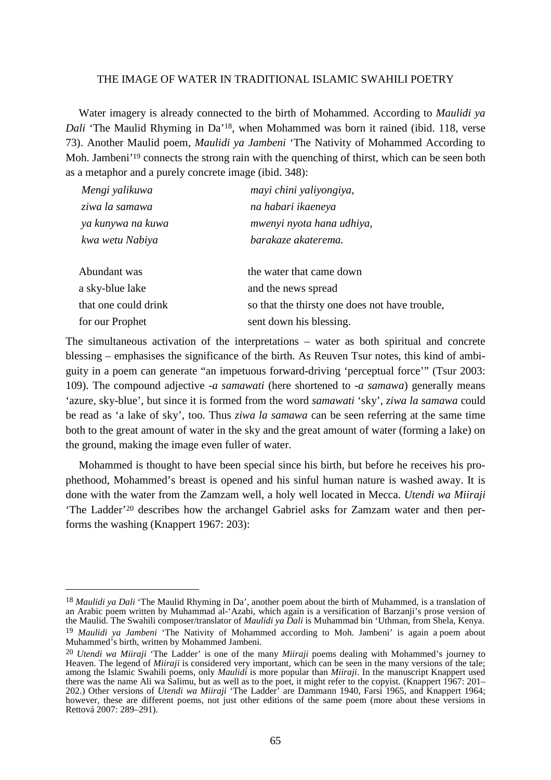Water imagery is already connected to the birth of Mohammed. According to *Maulidi ya Dali* 'The Maulid Rhyming in Da'18, when Mohammed was born it rained (ibid. 118, verse 73). Another Maulid poem, *Maulidi ya Jambeni* 'The Nativity of Mohammed According to Moh. Jambeni<sup>'19</sup> connects the strong rain with the quenching of thirst, which can be seen both as a metaphor and a purely concrete image (ibid. 348):

| Mengi yalikuwa       | mayi chini yaliyongiya,                        |
|----------------------|------------------------------------------------|
| ziwa la samawa       | na habari ikaeneya                             |
| ya kunywa na kuwa    | mwenyi nyota hana udhiya,                      |
| kwa wetu Nabiya      | barakaze akaterema.                            |
| Abundant was         | the water that came down                       |
| a sky-blue lake      | and the news spread                            |
| that one could drink | so that the thirsty one does not have trouble, |
| for our Prophet      | sent down his blessing.                        |

The simultaneous activation of the interpretations – water as both spiritual and concrete blessing – emphasises the significance of the birth. As Reuven Tsur notes, this kind of ambiguity in a poem can generate "an impetuous forward-driving 'perceptual force'" (Tsur 2003: 109). The compound adjective *-a samawati* (here shortened to *-a samawa*) generally means 'azure, sky-blue', but since it is formed from the word *samawati* 'sky', *ziwa la samawa* could be read as 'a lake of sky', too. Thus *ziwa la samawa* can be seen referring at the same time both to the great amount of water in the sky and the great amount of water (forming a lake) on the ground, making the image even fuller of water.

 Mohammed is thought to have been special since his birth, but before he receives his prophethood, Mohammed's breast is opened and his sinful human nature is washed away. It is done with the water from the Zamzam well, a holy well located in Mecca. *Utendi wa Miiraji* 'The Ladder'20 describes how the archangel Gabriel asks for Zamzam water and then performs the washing (Knappert 1967: 203):

<sup>18</sup> *Maulidi ya Dali* 'The Maulid Rhyming in Da', another poem about the birth of Muhammed, is a translation of an Arabic poem written by Muhammad al-'Azabi, which again is a versification of Barzanji's prose version of the Maulid. The Swahili composer/translator of *Maulidi ya Dali* is Muhammad bin 'Uthman, from Shela, Kenya. 19 *Maulidi ya Jambeni* 'The Nativity of Mohammed according to Moh. Jambeni' is again a poem about Muhammed's birth, written by Mohammed Jambeni.

<sup>20</sup> *Utendi wa Miiraji* 'The Ladder' is one of the many *Miiraji* poems dealing with Mohammed's journey to Heaven. The legend of *Miiraji* is considered very important, which can be seen in the many versions of the tale; among the Islamic Swahili poems, only *Maulidi* is more popular than *Miiraji*. In the manuscript Knappert used there was the name Ali wa Salimu, but as well as to the poet, it might refer to the copyist. (Knappert 1967: 201– 202.) Other versions of *Utendi wa Miiraji* 'The Ladder' are Dammann 1940, Farsi 1965, and Knappert 1964; however, these are different poems, not just other editions of the same poem (more about these versions in Rettová 2007: 289–291).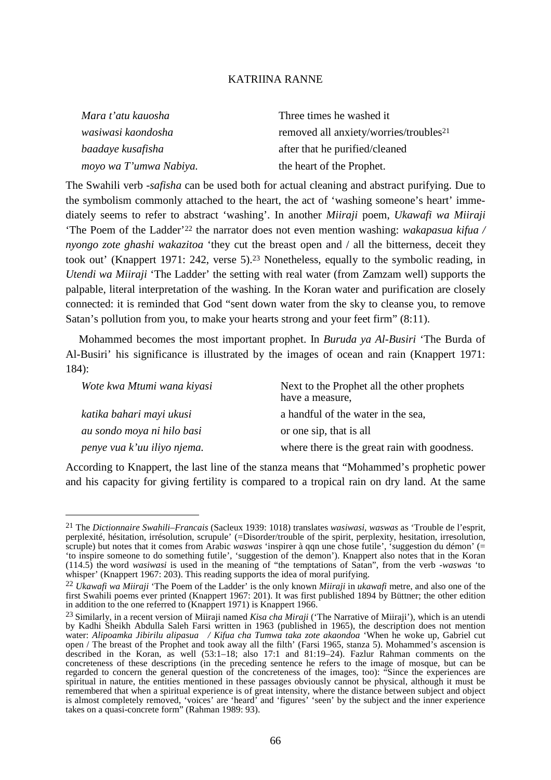| Three times he washed it                           |
|----------------------------------------------------|
| removed all anxiety/worries/troubles <sup>21</sup> |
| after that he purified/cleaned                     |
| the heart of the Prophet.                          |
|                                                    |

The Swahili verb -*safisha* can be used both for actual cleaning and abstract purifying. Due to the symbolism commonly attached to the heart, the act of 'washing someone's heart' immediately seems to refer to abstract 'washing'. In another *Miiraji* poem, *Ukawafi wa Miiraji* 'The Poem of the Ladder'22 the narrator does not even mention washing: *wakapasua kifua / nyongo zote ghashi wakazitoa* 'they cut the breast open and / all the bitterness, deceit they took out' (Knappert 1971: 242, verse 5).23 Nonetheless, equally to the symbolic reading, in *Utendi wa Miiraji* 'The Ladder' the setting with real water (from Zamzam well) supports the palpable, literal interpretation of the washing. In the Koran water and purification are closely connected: it is reminded that God "sent down water from the sky to cleanse you, to remove Satan's pollution from you, to make your hearts strong and your feet firm" (8:11).

 Mohammed becomes the most important prophet. In *Buruda ya Al-Busiri* 'The Burda of Al-Busiri' his significance is illustrated by the images of ocean and rain (Knappert 1971: 184):

| Wote kwa Mtumi wana kiyasi  | Next to the Prophet all the other prophets<br>have a measure, |
|-----------------------------|---------------------------------------------------------------|
| katika bahari mayi ukusi    | a handful of the water in the sea,                            |
| au sondo moya ni hilo basi  | or one sip, that is all                                       |
| penye vua k'uu iliyo njema. | where there is the great rain with goodness.                  |

According to Knappert, the last line of the stanza means that "Mohammed's prophetic power and his capacity for giving fertility is compared to a tropical rain on dry land. At the same

<sup>21</sup> The *Dictionnaire Swahili–Francais* (Sacleux 1939: 1018) translates *wasiwasi*, *waswas* as 'Trouble de l'esprit, perplexité, hésitation, irrésolution, scrupule' (=Disorder/trouble of the spirit, perplexity, hesitation, irresolution, scruple) but notes that it comes from Arabic *waswas* 'inspirer à qqn une chose futile', 'suggestion du démon' (= 'to inspire someone to do something futile', 'suggestion of the demon'). Knappert also notes that in the Koran (114.5) the word *wasiwasi* is used in the meaning of "the temptations of Satan", from the verb -*waswas* 'to whisper' (Knappert 1967: 203). This reading supports the idea of moral purifying.

<sup>22</sup> *Ukawafi wa Miiraji* 'The Poem of the Ladder' is the only known *Miiraji* in *ukawafi* metre, and also one of the first Swahili poems ever printed (Knappert 1967: 201). It was first published 1894 by Büttner; the other edition in addition to the one referred to (Knappert 1971) is Knappert 1966.

<sup>23</sup> Similarly, in a recent version of Miiraji named *Kisa cha Miraji* ('The Narrative of Miiraji'), which is an utendi by Kadhi Sheikh Abdulla Saleh Farsi written in 1963 (published in 1965), the description does not mention water: *Alipoamka Jibirilu alipasua / Kifua cha Tumwa taka zote akaondoa* 'When he woke up, Gabriel cut open / The breast of the Prophet and took away all the filth' (Farsi 1965, stanza 5). Mohammed's ascension is described in the Koran, as well (53:1–18; also 17:1 and 81:19–24). Fazlur Rahman comments on the concreteness of these descriptions (in the preceding sentence he refers to the image of mosque, but can be regarded to concern the general question of the concreteness of the images, too): "Since the experiences are spiritual in nature, the entities mentioned in these passages obviously cannot be physical, although it must be remembered that when a spiritual experience is of great intensity, where the distance between subject and object is almost completely removed, 'voices' are 'heard' and 'figures' 'seen' by the subject and the inner experience takes on a quasi-concrete form" (Rahman 1989: 93).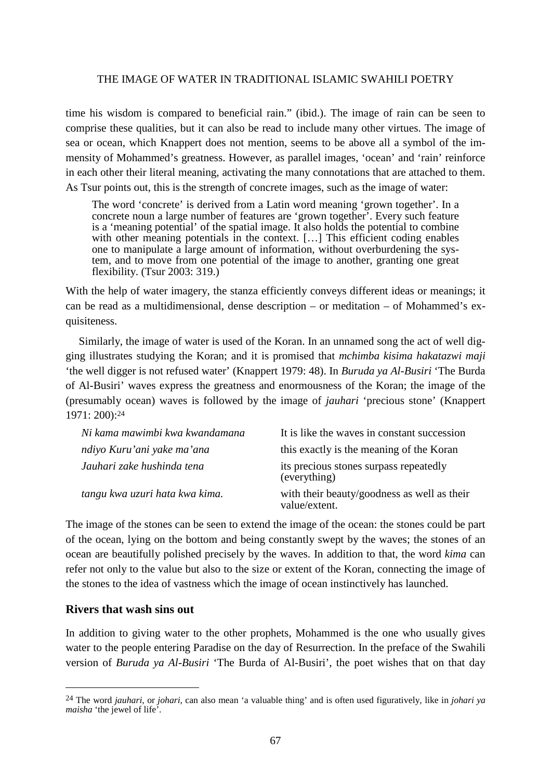time his wisdom is compared to beneficial rain." (ibid.). The image of rain can be seen to comprise these qualities, but it can also be read to include many other virtues. The image of sea or ocean, which Knappert does not mention, seems to be above all a symbol of the immensity of Mohammed's greatness. However, as parallel images, 'ocean' and 'rain' reinforce in each other their literal meaning, activating the many connotations that are attached to them. As Tsur points out, this is the strength of concrete images, such as the image of water:

The word 'concrete' is derived from a Latin word meaning 'grown together'. In a concrete noun a large number of features are 'grown together'. Every such feature is a 'meaning potential' of the spatial image. It also holds the potential to combine with other meaning potentials in the context. [...] This efficient coding enables one to manipulate a large amount of information, without overburdening the system, and to move from one potential of the image to another, granting one great flexibility. (Tsur 2003: 319.)

With the help of water imagery, the stanza efficiently conveys different ideas or meanings; it can be read as a multidimensional, dense description – or meditation – of Mohammed's exquisiteness.

 Similarly, the image of water is used of the Koran. In an unnamed song the act of well digging illustrates studying the Koran; and it is promised that *mchimba kisima hakatazwi maji* 'the well digger is not refused water' (Knappert 1979: 48). In *Buruda ya Al-Busiri* 'The Burda of Al-Busiri' waves express the greatness and enormousness of the Koran; the image of the (presumably ocean) waves is followed by the image of *jauhari* 'precious stone' (Knappert 1971: 200):<sup>24</sup>

| Ni kama mawimbi kwa kwandamana | It is like the waves in constant succession                  |
|--------------------------------|--------------------------------------------------------------|
| ndiyo Kuru'ani yake ma'ana     | this exactly is the meaning of the Koran                     |
| Jauhari zake hushinda tena     | its precious stones surpass repeatedly<br>(everything)       |
| tangu kwa uzuri hata kwa kima. | with their beauty/goodness as well as their<br>value/extent. |

The image of the stones can be seen to extend the image of the ocean: the stones could be part of the ocean, lying on the bottom and being constantly swept by the waves; the stones of an ocean are beautifully polished precisely by the waves. In addition to that, the word *kima* can refer not only to the value but also to the size or extent of the Koran, connecting the image of the stones to the idea of vastness which the image of ocean instinctively has launched.

## **Rivers that wash sins out**

 $\overline{a}$ 

In addition to giving water to the other prophets, Mohammed is the one who usually gives water to the people entering Paradise on the day of Resurrection. In the preface of the Swahili version of *Buruda ya Al-Busiri* 'The Burda of Al-Busiri', the poet wishes that on that day

<sup>24</sup> The word *jauhari*, or *johari*, can also mean 'a valuable thing' and is often used figuratively, like in *johari ya maisha* 'the jewel of life'.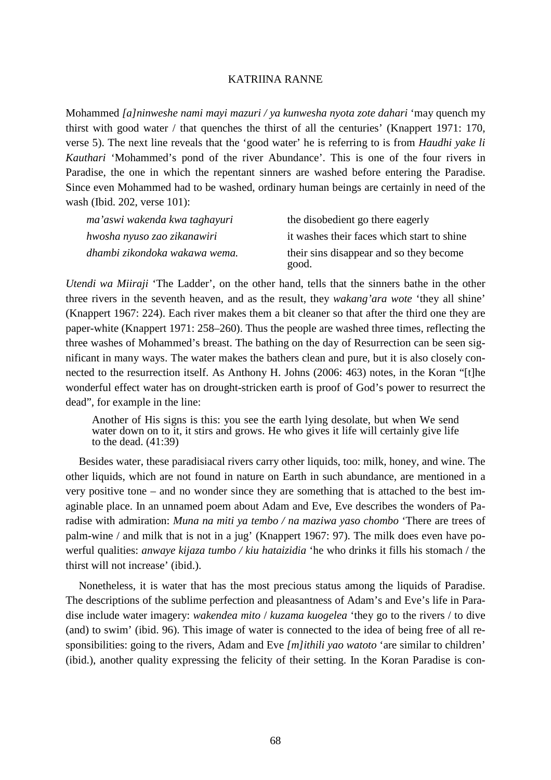Mohammed *[a]ninweshe nami mayi mazuri / ya kunwesha nyota zote dahari* 'may quench my thirst with good water / that quenches the thirst of all the centuries' (Knappert 1971: 170, verse 5). The next line reveals that the 'good water' he is referring to is from *Haudhi yake li Kauthari* 'Mohammed's pond of the river Abundance'. This is one of the four rivers in Paradise, the one in which the repentant sinners are washed before entering the Paradise. Since even Mohammed had to be washed, ordinary human beings are certainly in need of the wash (Ibid. 202, verse 101):

| ma'aswi wakenda kwa taghayuri | the disobedient go there eagerly                 |
|-------------------------------|--------------------------------------------------|
| hwosha nyuso zao zikanawiri   | it washes their faces which start to shine       |
| dhambi zikondoka wakawa wema. | their sins disappear and so they become<br>good. |

*Utendi wa Miiraji* 'The Ladder', on the other hand, tells that the sinners bathe in the other three rivers in the seventh heaven, and as the result, they *wakang'ara wote* 'they all shine' (Knappert 1967: 224). Each river makes them a bit cleaner so that after the third one they are paper-white (Knappert 1971: 258–260). Thus the people are washed three times, reflecting the three washes of Mohammed's breast. The bathing on the day of Resurrection can be seen significant in many ways. The water makes the bathers clean and pure, but it is also closely connected to the resurrection itself. As Anthony H. Johns (2006: 463) notes, in the Koran "[t]he wonderful effect water has on drought-stricken earth is proof of God's power to resurrect the dead", for example in the line:

Another of His signs is this: you see the earth lying desolate, but when We send water down on to it, it stirs and grows. He who gives it life will certainly give life to the dead. (41:39)

 Besides water, these paradisiacal rivers carry other liquids, too: milk, honey, and wine. The other liquids, which are not found in nature on Earth in such abundance, are mentioned in a very positive tone – and no wonder since they are something that is attached to the best imaginable place. In an unnamed poem about Adam and Eve, Eve describes the wonders of Paradise with admiration: *Muna na miti ya tembo / na maziwa yaso chombo* 'There are trees of palm-wine / and milk that is not in a jug' (Knappert 1967: 97). The milk does even have powerful qualities: *anwaye kijaza tumbo / kiu hataizidia* 'he who drinks it fills his stomach / the thirst will not increase' (ibid.).

 Nonetheless, it is water that has the most precious status among the liquids of Paradise. The descriptions of the sublime perfection and pleasantness of Adam's and Eve's life in Paradise include water imagery: *wakendea mito* / *kuzama kuogelea* 'they go to the rivers / to dive (and) to swim' (ibid. 96). This image of water is connected to the idea of being free of all responsibilities: going to the rivers, Adam and Eve *[m]ithili yao watoto* 'are similar to children' (ibid.), another quality expressing the felicity of their setting. In the Koran Paradise is con-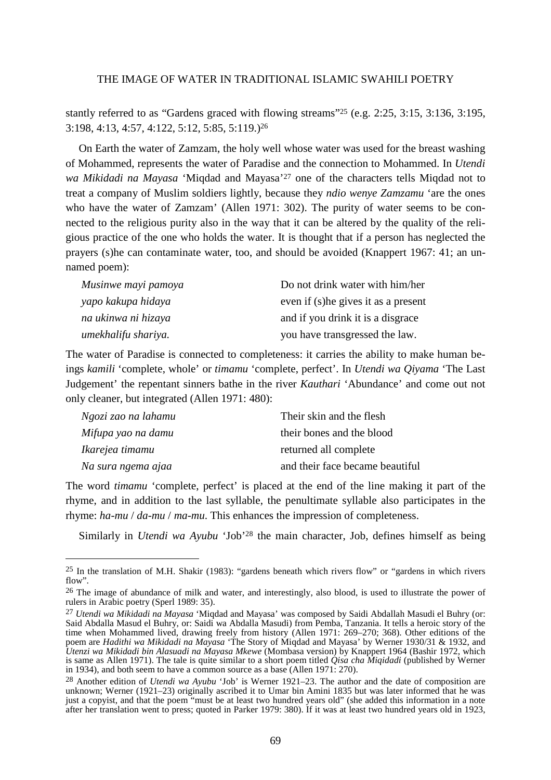stantly referred to as "Gardens graced with flowing streams"25 (e.g. 2:25, 3:15, 3:136, 3:195, 3:198, 4:13, 4:57, 4:122, 5:12, 5:85, 5:119.)<sup>26</sup>

 On Earth the water of Zamzam, the holy well whose water was used for the breast washing of Mohammed, represents the water of Paradise and the connection to Mohammed. In *Utendi wa Mikidadi na Mayasa* 'Miqdad and Mayasa'27 one of the characters tells Miqdad not to treat a company of Muslim soldiers lightly, because they *ndio wenye Zamzamu* 'are the ones who have the water of Zamzam' (Allen 1971: 302). The purity of water seems to be connected to the religious purity also in the way that it can be altered by the quality of the religious practice of the one who holds the water. It is thought that if a person has neglected the prayers (s)he can contaminate water, too, and should be avoided (Knappert 1967: 41; an unnamed poem):

| Musinwe mayi pamoya | Do not drink water with him/her      |
|---------------------|--------------------------------------|
| yapo kakupa hidaya  | even if (s) he gives it as a present |
| na ukinwa ni hizaya | and if you drink it is a disgrace    |
| umekhalifu shariya. | you have transgressed the law.       |

The water of Paradise is connected to completeness: it carries the ability to make human beings *kamili* 'complete, whole' or *timamu* 'complete, perfect'. In *Utendi wa Qiyama* 'The Last Judgement' the repentant sinners bathe in the river *Kauthari* 'Abundance' and come out not only cleaner, but integrated (Allen 1971: 480):

| Ngozi zao na lahamu | Their skin and the flesh        |
|---------------------|---------------------------------|
| Mifupa yao na damu  | their bones and the blood       |
| Ikarejea timamu     | returned all complete           |
| Na sura ngema ajaa  | and their face became beautiful |

 $\overline{a}$ 

The word *timamu* 'complete, perfect' is placed at the end of the line making it part of the rhyme, and in addition to the last syllable, the penultimate syllable also participates in the rhyme: *ha-mu* / *da-mu* / *ma-mu*. This enhances the impression of completeness.

Similarly in *Utendi wa Ayubu* 'Job'28 the main character, Job, defines himself as being

<sup>25</sup> In the translation of M.H. Shakir (1983): "gardens beneath which rivers flow" or "gardens in which rivers flow".

<sup>&</sup>lt;sup>26</sup> The image of abundance of milk and water, and interestingly, also blood, is used to illustrate the power of rulers in Arabic poetry (Sperl 1989: 35).

<sup>27</sup> *Utendi wa Mikidadi na Mayasa* 'Miqdad and Mayasa' was composed by Saidi Abdallah Masudi el Buhry (or: Said Abdalla Masud el Buhry, or: Saidi wa Abdalla Masudi) from Pemba, Tanzania. It tells a heroic story of the time when Mohammed lived, drawing freely from history (Allen 1971: 269–270; 368). Other editions of the poem are *Hadithi wa Mikidadi na Mayasa* 'The Story of Miqdad and Mayasa' by Werner 1930/31 & 1932, and *Utenzi wa Mikidadi bin Alasuadi na Mayasa Mkewe* (Mombasa version) by Knappert 1964 (Bashir 1972, which is same as Allen 1971). The tale is quite similar to a short poem titled *Qisa cha Miqidadi* (published by Werner in 1934), and both seem to have a common source as a base (Allen 1971: 270).

<sup>28</sup> Another edition of *Utendi wa Ayubu* 'Job' is Werner 1921–23. The author and the date of composition are unknown; Werner (1921–23) originally ascribed it to Umar bin Amini 1835 but was later informed that he was just a copyist, and that the poem "must be at least two hundred years old" (she added this information in a note after her translation went to press; quoted in Parker 1979: 380). If it was at least two hundred years old in 1923,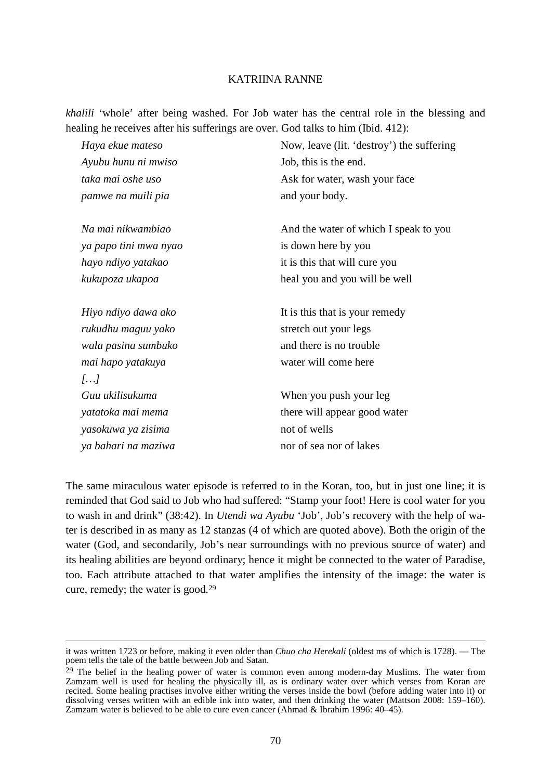*khalili* 'whole' after being washed. For Job water has the central role in the blessing and healing he receives after his sufferings are over. God talks to him (Ibid. 412):

| Haya ekue mateso      | Now, leave (lit. 'destroy') the suffering |
|-----------------------|-------------------------------------------|
| Ayubu hunu ni mwiso   | Job, this is the end.                     |
| taka mai oshe uso     | Ask for water, wash your face             |
| pamwe na muili pia    | and your body.                            |
| Na mai nikwambiao     | And the water of which I speak to you     |
| ya papo tini mwa nyao | is down here by you                       |
| hayo ndiyo yatakao    | it is this that will cure you             |
| kukupoza ukapoa       | heal you and you will be well             |
| Hiyo ndiyo dawa ako   | It is this that is your remedy            |
| rukudhu maguu yako    | stretch out your legs                     |
| wala pasina sumbuko   | and there is no trouble                   |
| mai hapo yatakuya     | water will come here                      |
| []                    |                                           |
| Guu ukilisukuma       | When you push your leg                    |
| yatatoka mai mema     | there will appear good water              |
| yasokuwa ya zisima    | not of wells                              |
| ya bahari na maziwa   | nor of sea nor of lakes                   |
|                       |                                           |

The same miraculous water episode is referred to in the Koran, too, but in just one line; it is reminded that God said to Job who had suffered: "Stamp your foot! Here is cool water for you to wash in and drink" (38:42). In *Utendi wa Ayubu* 'Job', Job's recovery with the help of water is described in as many as 12 stanzas (4 of which are quoted above). Both the origin of the water (God, and secondarily, Job's near surroundings with no previous source of water) and its healing abilities are beyond ordinary; hence it might be connected to the water of Paradise, too. Each attribute attached to that water amplifies the intensity of the image: the water is cure, remedy; the water is good.<sup>29</sup>

it was written 1723 or before, making it even older than *Chuo cha Herekali* (oldest ms of which is 1728). –– The poem tells the tale of the battle between Job and Satan.

<sup>&</sup>lt;sup>29</sup> The belief in the healing power of water is common even among modern-day Muslims. The water from Zamzam well is used for healing the physically ill, as is ordinary water over which verses from Koran are recited. Some healing practises involve either writing the verses inside the bowl (before adding water into it) or dissolving verses written with an edible ink into water, and then drinking the water (Mattson 2008: 159–160). Zamzam water is believed to be able to cure even cancer (Ahmad & Ibrahim 1996: 40–45).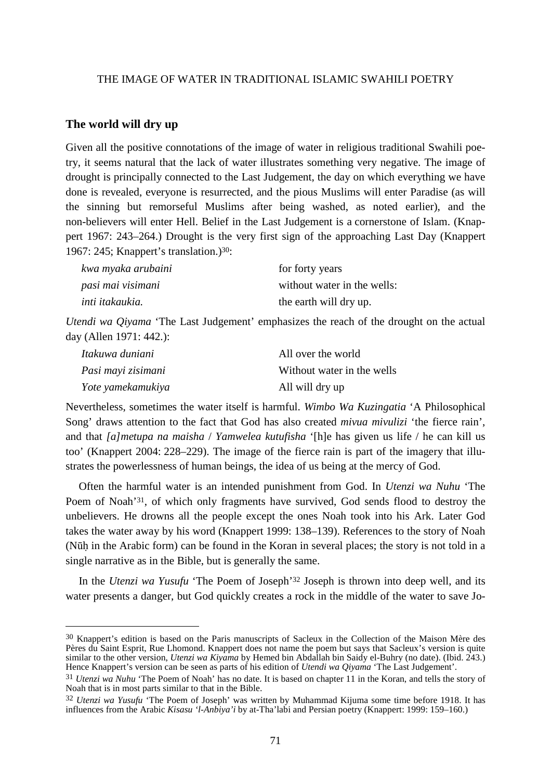#### **The world will dry up**

 $\overline{a}$ 

Given all the positive connotations of the image of water in religious traditional Swahili poetry, it seems natural that the lack of water illustrates something very negative. The image of drought is principally connected to the Last Judgement, the day on which everything we have done is revealed, everyone is resurrected, and the pious Muslims will enter Paradise (as will the sinning but remorseful Muslims after being washed, as noted earlier), and the non-believers will enter Hell. Belief in the Last Judgement is a cornerstone of Islam. (Knappert 1967: 243–264.) Drought is the very first sign of the approaching Last Day (Knappert 1967: 245; Knappert's translation.)30:

| kwa myaka arubaini | for forty years             |
|--------------------|-----------------------------|
| pasi mai visimani  | without water in the wells: |
| inti itakaukia.    | the earth will dry up.      |

*Utendi wa Qiyama* 'The Last Judgement' emphasizes the reach of the drought on the actual day (Allen 1971: 442.):

| Itakuwa duniani    | All over the world         |
|--------------------|----------------------------|
| Pasi mayi zisimani | Without water in the wells |
| Yote yamekamukiya  | All will dry up            |

Nevertheless, sometimes the water itself is harmful. *Wimbo Wa Kuzingatia* 'A Philosophical Song' draws attention to the fact that God has also created *mivua mivulizi* 'the fierce rain', and that *[a]metupa na maisha* / *Yamwelea kutufisha* '[h]e has given us life / he can kill us too' (Knappert 2004: 228–229). The image of the fierce rain is part of the imagery that illustrates the powerlessness of human beings, the idea of us being at the mercy of God.

 Often the harmful water is an intended punishment from God. In *Utenzi wa Nuhu* 'The Poem of Noah<sup>'31</sup>, of which only fragments have survived, God sends flood to destroy the unbelievers. He drowns all the people except the ones Noah took into his Ark. Later God takes the water away by his word (Knappert 1999: 138–139). References to the story of Noah (Nūh in the Arabic form) can be found in the Koran in several places; the story is not told in a single narrative as in the Bible, but is generally the same.

 In the *Utenzi wa Yusufu* 'The Poem of Joseph'32 Joseph is thrown into deep well, and its water presents a danger, but God quickly creates a rock in the middle of the water to save Jo-

<sup>30</sup> Knappert's edition is based on the Paris manuscripts of Sacleux in the Collection of the Maison Mère des Pères du Saint Esprit, Rue Lhomond. Knappert does not name the poem but says that Sacleux's version is quite similar to the other version, *Utenzi wa Kiyama* by Hemed bin Abdallah bin Saidy el-Buhry (no date). (Ibid. 243.) Hence Knappert's version can be seen as parts of his edition of *Utendi wa Qiyama* 'The Last Judgement'.

<sup>31</sup> *Utenzi wa Nuhu* 'The Poem of Noah' has no date. It is based on chapter 11 in the Koran, and tells the story of Noah that is in most parts similar to that in the Bible.

<sup>32</sup> *Utenzi wa Yusufu* 'The Poem of Joseph' was written by Muhammad Kijuma some time before 1918. It has influences from the Arabic *Kisasu 'l-Anbiya'i* by at-Tha'labi and Persian poetry (Knappert: 1999: 159–160.)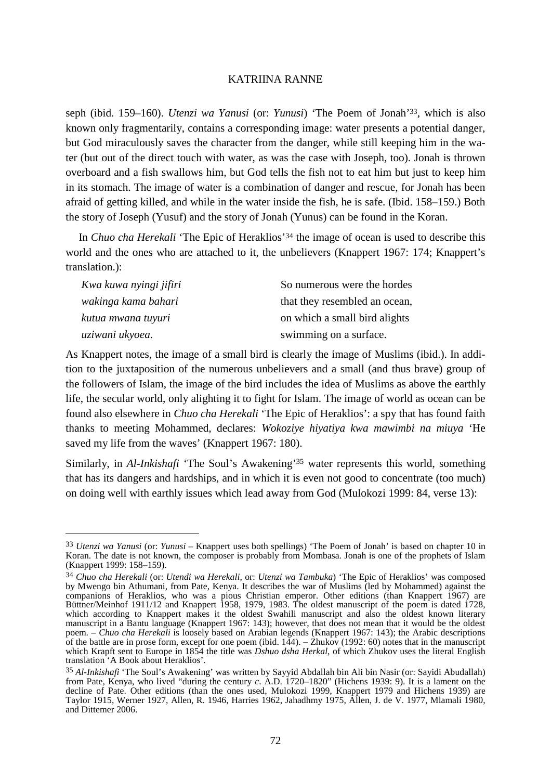seph (ibid. 159–160). *Utenzi wa Yanusi* (or: *Yunusi*) 'The Poem of Jonah'33, which is also known only fragmentarily, contains a corresponding image: water presents a potential danger, but God miraculously saves the character from the danger, while still keeping him in the water (but out of the direct touch with water, as was the case with Joseph, too). Jonah is thrown overboard and a fish swallows him, but God tells the fish not to eat him but just to keep him in its stomach. The image of water is a combination of danger and rescue, for Jonah has been afraid of getting killed, and while in the water inside the fish, he is safe. (Ibid. 158–159.) Both the story of Joseph (Yusuf) and the story of Jonah (Yunus) can be found in the Koran.

 In *Chuo cha Herekali* 'The Epic of Heraklios'34 the image of ocean is used to describe this world and the ones who are attached to it, the unbelievers (Knappert 1967: 174; Knappert's translation.):

| Kwa kuwa nyingi jifiri | So numerous were the hordes   |
|------------------------|-------------------------------|
| wakinga kama bahari    | that they resembled an ocean, |
| kutua mwana tuyuri     | on which a small bird alights |
| uziwani ukyoea.        | swimming on a surface.        |

As Knappert notes, the image of a small bird is clearly the image of Muslims (ibid.). In addition to the juxtaposition of the numerous unbelievers and a small (and thus brave) group of the followers of Islam, the image of the bird includes the idea of Muslims as above the earthly life, the secular world, only alighting it to fight for Islam. The image of world as ocean can be found also elsewhere in *Chuo cha Herekali* 'The Epic of Heraklios': a spy that has found faith thanks to meeting Mohammed, declares: *Wokoziye hiyatiya kwa mawimbi na miuya* 'He saved my life from the waves' (Knappert 1967: 180).

Similarly, in *Al-Inkishafi* 'The Soul's Awakening'35 water represents this world, something that has its dangers and hardships, and in which it is even not good to concentrate (too much) on doing well with earthly issues which lead away from God (Mulokozi 1999: 84, verse 13):

<sup>33</sup> *Utenzi wa Yanusi* (or: *Yunusi –* Knappert uses both spellings) 'The Poem of Jonah' is based on chapter 10 in Koran. The date is not known, the composer is probably from Mombasa. Jonah is one of the prophets of Islam (Knappert 1999: 158–159).

<sup>34</sup> *Chuo cha Herekali* (or: *Utendi wa Herekali*, or: *Utenzi wa Tambuka*) 'The Epic of Heraklios' was composed by Mwengo bin Athumani, from Pate, Kenya. It describes the war of Muslims (led by Mohammed) against the companions of Heraklios, who was a pious Christian emperor. Other editions (than Knappert 1967) are Büttner/Meinhof 1911/12 and Knappert 1958, 1979, 1983. The oldest manuscript of the poem is dated 1728, which according to Knappert makes it the oldest Swahili manuscript and also the oldest known literary manuscript in a Bantu language (Knappert 1967: 143); however, that does not mean that it would be the oldest poem. – *Chuo cha Herekali* is loosely based on Arabian legends (Knappert 1967: 143); the Arabic descriptions of the battle are in prose form, except for one poem (ibid. 144). – Zhukov (1992: 60) notes that in the manuscript which Krapft sent to Europe in 1854 the title was *Dshuo dsha Herkal*, of which Zhukov uses the literal English translation 'A Book about Heraklios'.

<sup>35</sup> *Al-Inkishafi* 'The Soul's Awakening' was written by Sayyid Abdallah bin Ali bin Nasir (or: Sayidi Abudallah) from Pate, Kenya, who lived "during the century *c*. A.D. 1720–1820" (Hichens 1939: 9). It is a lament on the decline of Pate. Other editions (than the ones used, Mulokozi 1999, Knappert 1979 and Hichens 1939) are Taylor 1915, Werner 1927, Allen, R. 1946, Harries 1962, Jahadhmy 1975, Allen, J. de V. 1977, Mlamali 1980, and Dittemer 2006.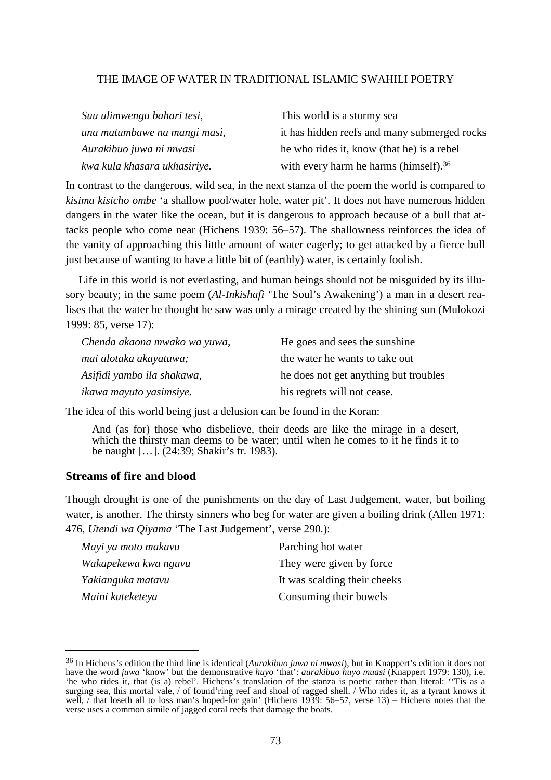| Suu ulimwengu bahari tesi,   | This world is a stormy sea                        |
|------------------------------|---------------------------------------------------|
| una matumbawe na mangi masi, | it has hidden reefs and many submerged rocks      |
| Aurakibuo juwa ni mwasi      | he who rides it, know (that he) is a rebel        |
| kwa kula khasara ukhasiriye. | with every harm he harms (himself). <sup>36</sup> |

In contrast to the dangerous, wild sea, in the next stanza of the poem the world is compared to *kisima kisicho ombe* 'a shallow pool/water hole, water pit'. It does not have numerous hidden dangers in the water like the ocean, but it is dangerous to approach because of a bull that attacks people who come near (Hichens 1939: 56–57). The shallowness reinforces the idea of the vanity of approaching this little amount of water eagerly; to get attacked by a fierce bull just because of wanting to have a little bit of (earthly) water, is certainly foolish.

 Life in this world is not everlasting, and human beings should not be misguided by its illusory beauty; in the same poem (*Al-Inkishafi* 'The Soul's Awakening') a man in a desert realises that the water he thought he saw was only a mirage created by the shining sun (Mulokozi 1999: 85, verse 17):

| Chenda akaona mwako wa yuwa, | He goes and sees the sunshine         |
|------------------------------|---------------------------------------|
| mai alotaka akayatuwa;       | the water he wants to take out        |
| Asifidi yambo ila shakawa,   | he does not get anything but troubles |
| ikawa mayuto yasimsiye.      | his regrets will not cease.           |

The idea of this world being just a delusion can be found in the Koran:

And (as for) those who disbelieve, their deeds are like the mirage in a desert, which the thirsty man deems to be water; until when he comes to it he finds it to be naught […]. (24:39; Shakir's tr. 1983).

## **Streams of fire and blood**

 $\overline{a}$ 

Though drought is one of the punishments on the day of Last Judgement, water, but boiling water, is another. The thirsty sinners who beg for water are given a boiling drink (Allen 1971: 476, *Utendi wa Qiyama* 'The Last Judgement', verse 290.):

| Mayi ya moto makavu  | Parching hot water           |
|----------------------|------------------------------|
| Wakapekewa kwa nguvu | They were given by force     |
| Yakianguka matavu    | It was scalding their cheeks |
| Maini kuteketeya     | Consuming their bowels       |

<sup>36</sup> In Hichens's edition the third line is identical (*Aurakibuo juwa ni mwasi*), but in Knappert's edition it does not have the word *juwa* 'know' but the demonstrative *huyo* 'that': *aurakibuo huyo muasi* (Knappert 1979: 130), i.e. 'he who rides it, that (is a) rebel'. Hichens's translation of the stanza is poetic rather than literal: ''Tis as a surging sea, this mortal vale, / of found'ring reef and shoal of ragged shell. / Who rides it, as a tyrant knows it well, / that loseth all to loss man's hoped-for gain' (Hichens 1939: 56–57, verse 13) – Hichens notes that the verse uses a common simile of jagged coral reefs that damage the boats.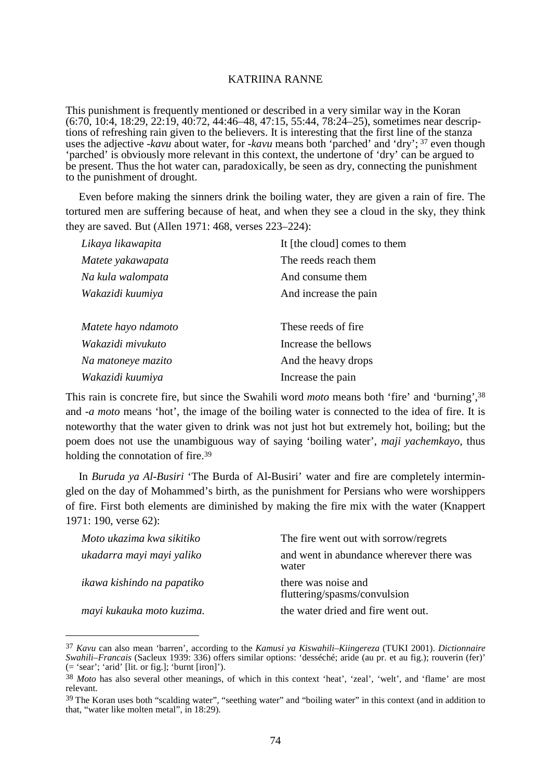This punishment is frequently mentioned or described in a very similar way in the Koran (6:70, 10:4, 18:29, 22:19, 40:72, 44:46–48, 47:15, 55:44, 78:24–25), sometimes near descriptions of refreshing rain given to the believers. It is interesting that the first line of the stanza uses the adjective -*kavu* about water, for -*kavu* means both 'parched' and 'dry'; 37 even though 'parched' is obviously more relevant in this context, the undertone of 'dry' can be argued to be present. Thus the hot water can, paradoxically, be seen as dry, connecting the punishment to the punishment of drought.

 Even before making the sinners drink the boiling water, they are given a rain of fire. The tortured men are suffering because of heat, and when they see a cloud in the sky, they think they are saved. But (Allen 1971: 468, verses 223–224):

| Likaya likawapita   | It [the cloud] comes to them |
|---------------------|------------------------------|
| Matete yakawapata   | The reeds reach them         |
| Na kula walompata   | And consume them             |
| Wakazidi kuumiya    | And increase the pain        |
|                     |                              |
| Matete hayo ndamoto | These reeds of fire.         |
| Wakazidi mivukuto   | Increase the bellows         |
| Na matoneye mazito  | And the heavy drops          |
| Wakazidi kuumiya    | Increase the pain            |

This rain is concrete fire, but since the Swahili word *moto* means both 'fire' and 'burning',<sup>38</sup> and -*a moto* means 'hot', the image of the boiling water is connected to the idea of fire. It is noteworthy that the water given to drink was not just hot but extremely hot, boiling; but the poem does not use the unambiguous way of saying 'boiling water', *maji yachemkayo*, thus holding the connotation of fire.<sup>39</sup>

 In *Buruda ya Al-Busiri* 'The Burda of Al-Busiri' water and fire are completely intermingled on the day of Mohammed's birth, as the punishment for Persians who were worshippers of fire. First both elements are diminished by making the fire mix with the water (Knappert 1971: 190, verse 62):

| Moto ukazima kwa sikitiko  | The fire went out with sorrow/regrets               |
|----------------------------|-----------------------------------------------------|
| ukadarra mayi mayi yaliko  | and went in abundance wherever there was<br>water   |
| ikawa kishindo na papatiko | there was noise and<br>fluttering/spasms/convulsion |
| mayi kukauka moto kuzima.  | the water dried and fire went out.                  |

<sup>37</sup> *Kavu* can also mean 'barren', according to the *Kamusi ya Kiswahili–Kiingereza* (TUKI 2001). *Dictionnaire Swahili–Francais* (Sacleux 1939: 336) offers similar options: 'desséché; aride (au pr. et au fig.); rouverin (fer)'  $($  = 'sear'; 'arid' [lit. or fig.]; 'burnt [iron]').

<sup>38</sup> *Moto* has also several other meanings, of which in this context 'heat', 'zeal', 'welt', and 'flame' are most relevant.

<sup>&</sup>lt;sup>39</sup> The Koran uses both "scalding water", "seething water" and "boiling water" in this context (and in addition to that, "water like molten metal", in 18:29).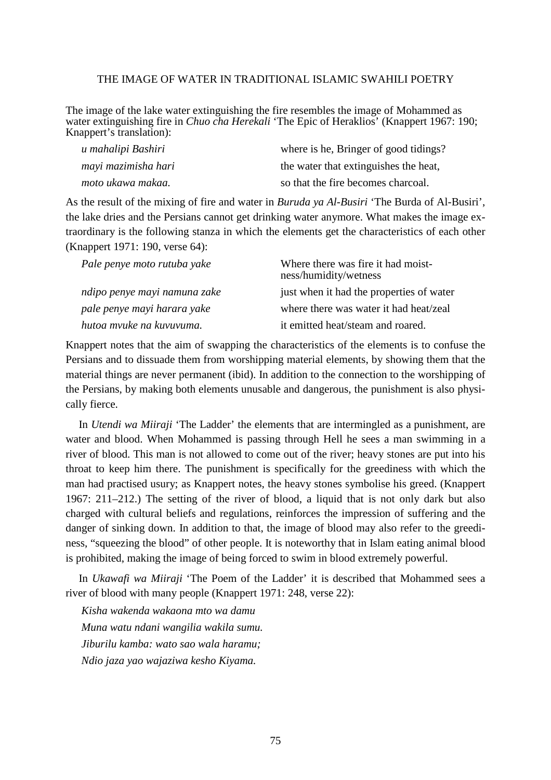The image of the lake water extinguishing the fire resembles the image of Mohammed as water extinguishing fire in *Chuo cha Herekali* 'The Epic of Heraklios' (Knappert 1967: 190; Knappert's translation):

| u mahalipi Bashiri  | where is he, Bringer of good tidings? |
|---------------------|---------------------------------------|
| mayi mazimisha hari | the water that extinguishes the heat, |
| moto ukawa makaa.   | so that the fire becomes charcoal.    |

As the result of the mixing of fire and water in *Buruda ya Al-Busiri* 'The Burda of Al-Busiri', the lake dries and the Persians cannot get drinking water anymore. What makes the image extraordinary is the following stanza in which the elements get the characteristics of each other (Knappert 1971: 190, verse 64):

| Pale penye moto rutuba yake  | Where there was fire it had moist-<br>ness/humidity/wetness |
|------------------------------|-------------------------------------------------------------|
| ndipo penye mayi namuna zake | just when it had the properties of water                    |
| pale penye mayi harara yake  | where there was water it had heat/zeal                      |
| hutoa mvuke na kuvuvuma.     | it emitted heat/steam and roared.                           |

Knappert notes that the aim of swapping the characteristics of the elements is to confuse the Persians and to dissuade them from worshipping material elements, by showing them that the material things are never permanent (ibid). In addition to the connection to the worshipping of the Persians, by making both elements unusable and dangerous, the punishment is also physically fierce.

 In *Utendi wa Miiraji* 'The Ladder' the elements that are intermingled as a punishment, are water and blood. When Mohammed is passing through Hell he sees a man swimming in a river of blood. This man is not allowed to come out of the river; heavy stones are put into his throat to keep him there. The punishment is specifically for the greediness with which the man had practised usury; as Knappert notes, the heavy stones symbolise his greed. (Knappert 1967: 211–212.) The setting of the river of blood, a liquid that is not only dark but also charged with cultural beliefs and regulations, reinforces the impression of suffering and the danger of sinking down. In addition to that, the image of blood may also refer to the greediness, "squeezing the blood" of other people. It is noteworthy that in Islam eating animal blood is prohibited, making the image of being forced to swim in blood extremely powerful.

 In *Ukawafi wa Miiraji* 'The Poem of the Ladder' it is described that Mohammed sees a river of blood with many people (Knappert 1971: 248, verse 22):

*Kisha wakenda wakaona mto wa damu Muna watu ndani wangilia wakila sumu. Jiburilu kamba: wato sao wala haramu; Ndio jaza yao wajaziwa kesho Kiyama.*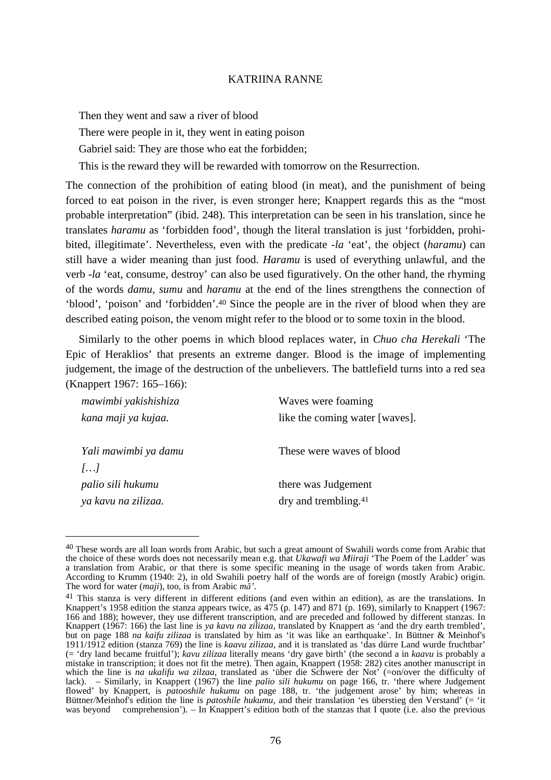Then they went and saw a river of blood There were people in it, they went in eating poison Gabriel said: They are those who eat the forbidden; This is the reward they will be rewarded with tomorrow on the Resurrection.

The connection of the prohibition of eating blood (in meat), and the punishment of being forced to eat poison in the river, is even stronger here; Knappert regards this as the "most probable interpretation" (ibid. 248). This interpretation can be seen in his translation, since he translates *haramu* as 'forbidden food', though the literal translation is just 'forbidden, prohibited, illegitimate'. Nevertheless, even with the predicate -*la* 'eat', the object (*haramu*) can still have a wider meaning than just food. *Haramu* is used of everything unlawful, and the verb -*la* 'eat, consume, destroy' can also be used figuratively. On the other hand, the rhyming of the words *damu*, *sumu* and *haramu* at the end of the lines strengthens the connection of 'blood', 'poison' and 'forbidden'.40 Since the people are in the river of blood when they are described eating poison, the venom might refer to the blood or to some toxin in the blood.

 Similarly to the other poems in which blood replaces water, in *Chuo cha Herekali* 'The Epic of Heraklios' that presents an extreme danger. Blood is the image of implementing judgement, the image of the destruction of the unbelievers. The battlefield turns into a red sea (Knappert 1967: 165–166):

| mawimbi yakishishiza  | Waves were foaming               |
|-----------------------|----------------------------------|
| kana maji ya kujaa.   | like the coming water [waves].   |
|                       |                                  |
| Yali mawimbi ya damu  | These were waves of blood        |
| $\left[\ldots\right]$ |                                  |
| palio sili hukumu     | there was Judgement              |
| ya kavu na zilizaa.   | dry and trembling. <sup>41</sup> |

<sup>&</sup>lt;sup>40</sup> These words are all loan words from Arabic, but such a great amount of Swahili words come from Arabic that the choice of these words does not necessarily mean e.g. that *Ukawafi wa Miiraji* 'The Poem of the Ladder' was a translation from Arabic, or that there is some specific meaning in the usage of words taken from Arabic. According to Krumm (1940: 2), in old Swahili poetry half of the words are of foreign (mostly Arabic) origin. The word for water (*maji*), too, is from Arabic *mā'*.

<sup>&</sup>lt;sup>41</sup> This stanza is very different in different editions (and even within an edition), as are the translations. In Knappert's 1958 edition the stanza appears twice, as 475 (p. 147) and 871 (p. 169), similarly to Knappert (1967: 166 and 188); however, they use different transcription, and are preceded and followed by different stanzas. In Knappert (1967: 166) the last line is *ya kavu na zilizaa*, translated by Knappert as 'and the dry earth trembled', but on page 188 *na kaifu zilizaa* is translated by him as 'it was like an earthquake'. In Büttner & Meinhof's 1911/1912 edition (stanza 769) the line is *kaavu zilizaa*, and it is translated as 'das dürre Land wurde fruchtbar' (= 'dry land became fruitful'); *kavu zilizaa* literally means 'dry gave birth' (the second a in *kaavu* is probably a mistake in transcription; it does not fit the metre). Then again, Knappert (1958: 282) cites another manuscript in which the line is *na ukalifu wa zilzaa*, translated as 'über die Schwere der Not' (=on/over the difficulty of lack). – Similarly, in Knappert (1967) the line *palio sili hukumu* on page 166, tr. 'there where Judgement flowed' by Knappert, is *patooshile hukumu* on page 188, tr. 'the judgement arose' by him; whereas in Büttner/Meinhof's edition the line is *patoshile hukumu*, and their translation 'es überstieg den Verstand' (= 'it was beyond comprehension'). – In Knappert's edition both of the stanzas that I quote (i.e. also the previous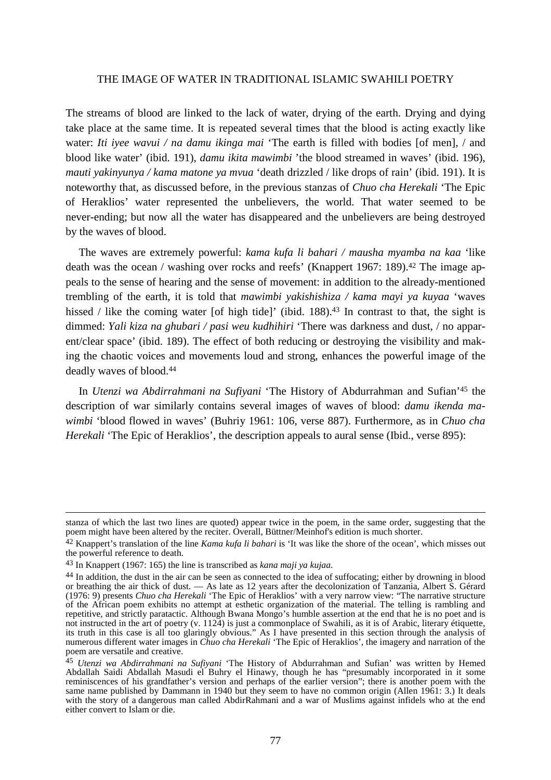The streams of blood are linked to the lack of water, drying of the earth. Drying and dying take place at the same time. It is repeated several times that the blood is acting exactly like water: *Iti iyee wavui / na damu ikinga mai* 'The earth is filled with bodies [of men], / and blood like water' (ibid. 191), *damu ikita mawimbi* 'the blood streamed in waves' (ibid. 196), *mauti yakinyunya / kama matone ya mvua* 'death drizzled / like drops of rain' (ibid. 191). It is noteworthy that, as discussed before, in the previous stanzas of *Chuo cha Herekali* 'The Epic of Heraklios' water represented the unbelievers, the world. That water seemed to be never-ending; but now all the water has disappeared and the unbelievers are being destroyed by the waves of blood.

 The waves are extremely powerful: *kama kufa li bahari / mausha myamba na kaa* 'like death was the ocean / washing over rocks and reefs' (Knappert 1967: 189).<sup>42</sup> The image appeals to the sense of hearing and the sense of movement: in addition to the already-mentioned trembling of the earth, it is told that *mawimbi yakishishiza / kama mayi ya kuyaa* 'waves hissed / like the coming water [of high tide]' (ibid. 188).<sup>43</sup> In contrast to that, the sight is dimmed: *Yali kiza na ghubari / pasi weu kudhihiri* 'There was darkness and dust, / no apparent/clear space' (ibid. 189). The effect of both reducing or destroying the visibility and making the chaotic voices and movements loud and strong, enhances the powerful image of the deadly waves of blood.<sup>44</sup>

 In *Utenzi wa Abdirrahmani na Sufiyani* 'The History of Abdurrahman and Sufian'45 the description of war similarly contains several images of waves of blood: *damu ikenda mawimbi* 'blood flowed in waves' (Buhriy 1961: 106, verse 887). Furthermore, as in *Chuo cha Herekali* 'The Epic of Heraklios', the description appeals to aural sense (Ibid., verse 895):

stanza of which the last two lines are quoted) appear twice in the poem, in the same order, suggesting that the poem might have been altered by the reciter. Overall, Büttner/Meinhof's edition is much shorter.

<sup>42</sup> Knappert's translation of the line *Kama kufa li bahari* is 'It was like the shore of the ocean', which misses out the powerful reference to death.

<sup>43</sup> In Knappert (1967: 165) the line is transcribed as *kana maji ya kujaa*.

<sup>44</sup> In addition, the dust in the air can be seen as connected to the idea of suffocating; either by drowning in blood or breathing the air thick of dust. –– As late as 12 years after the decolonization of Tanzania, Albert S. Gérard (1976: 9) presents *Chuo cha Herekali* 'The Epic of Heraklios' with a very narrow view: "The narrative structure of the African poem exhibits no attempt at esthetic organization of the material. The telling is rambling and repetitive, and strictly paratactic. Although Bwana Mongo's humble assertion at the end that he is no poet and is not instructed in the art of poetry (v. 1124) is just a commonplace of Swahili, as it is of Arabic, literary étiquette, its truth in this case is all too glaringly obvious." As I have presented in this section through the analysis of numerous different water images in *Chuo cha Herekali* 'The Epic of Heraklios', the imagery and narration of the poem are versatile and creative.

<sup>45</sup> *Utenzi wa Abdirrahmani na Sufiyani* 'The History of Abdurrahman and Sufian' was written by Hemed Abdallah Saidi Abdallah Masudi el Buhry el Hinawy, though he has "presumably incorporated in it some reminiscences of his grandfather's version and perhaps of the earlier version"; there is another poem with the same name published by Dammann in 1940 but they seem to have no common origin (Allen 1961: 3.) It deals with the story of a dangerous man called AbdirRahmani and a war of Muslims against infidels who at the end either convert to Islam or die.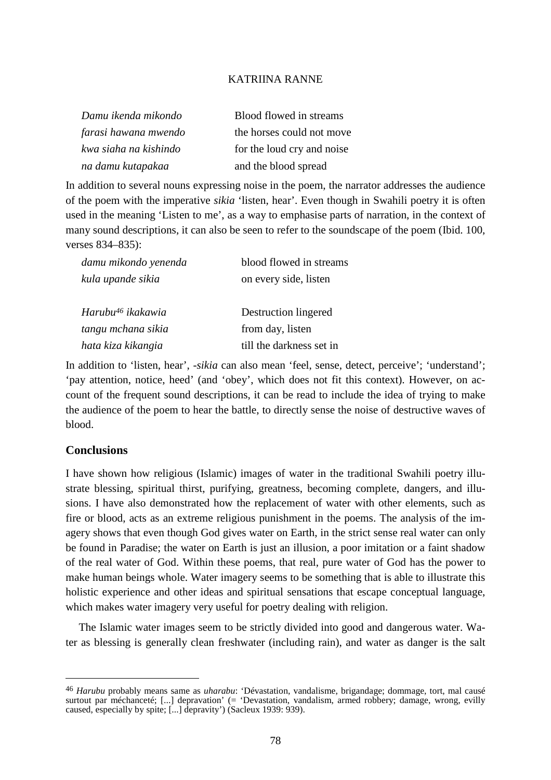| Damu ikenda mikondo   | Blood flowed in streams    |
|-----------------------|----------------------------|
| farasi hawana mwendo  | the horses could not move  |
| kwa siaha na kishindo | for the loud cry and noise |
| na damu kutapakaa     | and the blood spread       |

In addition to several nouns expressing noise in the poem, the narrator addresses the audience of the poem with the imperative *sikia* 'listen, hear'. Even though in Swahili poetry it is often used in the meaning 'Listen to me', as a way to emphasise parts of narration, in the context of many sound descriptions, it can also be seen to refer to the soundscape of the poem (Ibid. 100, verses 834–835):

| damu mikondo yenenda          | blood flowed in streams  |
|-------------------------------|--------------------------|
| kula upande sikia             | on every side, listen    |
| Harubu <sup>46</sup> ikakawia | Destruction lingered     |
| tangu mchana sikia            | from day, listen         |
| hata kiza kikangia            | till the darkness set in |

In addition to 'listen, hear', -*sikia* can also mean 'feel, sense, detect, perceive'; 'understand'; 'pay attention, notice, heed' (and 'obey', which does not fit this context). However, on account of the frequent sound descriptions, it can be read to include the idea of trying to make the audience of the poem to hear the battle, to directly sense the noise of destructive waves of blood.

## **Conclusions**

 $\overline{a}$ 

I have shown how religious (Islamic) images of water in the traditional Swahili poetry illustrate blessing, spiritual thirst, purifying, greatness, becoming complete, dangers, and illusions. I have also demonstrated how the replacement of water with other elements, such as fire or blood, acts as an extreme religious punishment in the poems. The analysis of the imagery shows that even though God gives water on Earth, in the strict sense real water can only be found in Paradise; the water on Earth is just an illusion, a poor imitation or a faint shadow of the real water of God. Within these poems, that real, pure water of God has the power to make human beings whole. Water imagery seems to be something that is able to illustrate this holistic experience and other ideas and spiritual sensations that escape conceptual language, which makes water imagery very useful for poetry dealing with religion.

 The Islamic water images seem to be strictly divided into good and dangerous water. Water as blessing is generally clean freshwater (including rain), and water as danger is the salt

<sup>46</sup> *Harubu* probably means same as *uharabu*: 'Dévastation, vandalisme, brigandage; dommage, tort, mal causé surtout par méchanceté; [...] depravation' (= 'Devastation, vandalism, armed robbery; damage, wrong, evilly caused, especially by spite; [...] depravity') (Sacleux 1939: 939).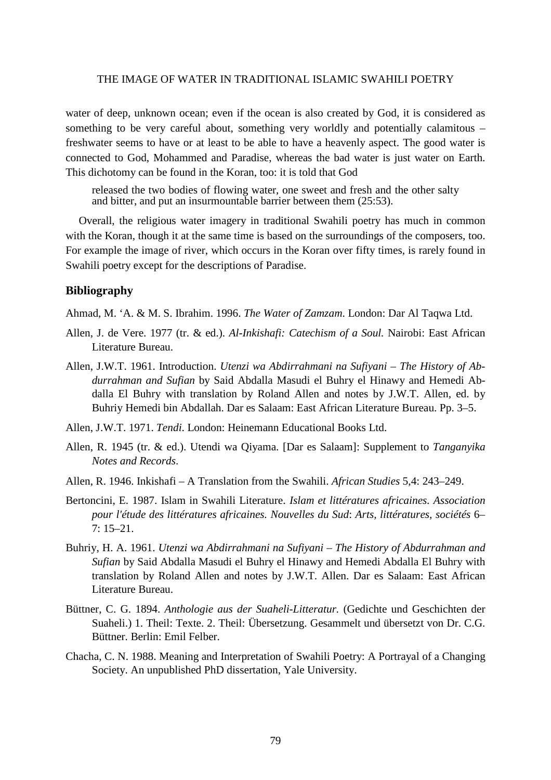water of deep, unknown ocean; even if the ocean is also created by God, it is considered as something to be very careful about, something very worldly and potentially calamitous – freshwater seems to have or at least to be able to have a heavenly aspect. The good water is connected to God, Mohammed and Paradise, whereas the bad water is just water on Earth. This dichotomy can be found in the Koran, too: it is told that God

released the two bodies of flowing water, one sweet and fresh and the other salty and bitter, and put an insurmountable barrier between them (25:53).

 Overall, the religious water imagery in traditional Swahili poetry has much in common with the Koran, though it at the same time is based on the surroundings of the composers, too. For example the image of river, which occurs in the Koran over fifty times, is rarely found in Swahili poetry except for the descriptions of Paradise.

#### **Bibliography**

Ahmad, M. 'A. & M. S. Ibrahim. 1996. *The Water of Zamzam*. London: Dar Al Taqwa Ltd.

- Allen, J. de Vere. 1977 (tr. & ed.). *Al-Inkishafi: Catechism of a Soul.* Nairobi: East African Literature Bureau.
- Allen, J.W.T. 1961. Introduction. *Utenzi wa Abdirrahmani na Sufiyani The History of Abdurrahman and Sufian* by Said Abdalla Masudi el Buhry el Hinawy and Hemedi Abdalla El Buhry with translation by Roland Allen and notes by J.W.T. Allen*,* ed. by Buhriy Hemedi bin Abdallah. Dar es Salaam: East African Literature Bureau. Pp. 3–5.
- Allen, J.W.T. 1971. *Tendi*. London: Heinemann Educational Books Ltd.
- Allen, R. 1945 (tr. & ed.). Utendi wa Qiyama. [Dar es Salaam]: Supplement to *Tanganyika Notes and Records*.
- Allen, R. 1946. Inkishafi A Translation from the Swahili. *African Studies* 5,4: 243–249.
- Bertoncini, E. 1987. Islam in Swahili Literature. *Islam et littératures africaines. Association pour l'étude des littératures africaines. Nouvelles du Sud*: *Arts, littératures, sociétés* 6– 7: 15–21.
- Buhriy, H. A. 1961. *Utenzi wa Abdirrahmani na Sufiyani The History of Abdurrahman and Sufian* by Said Abdalla Masudi el Buhry el Hinawy and Hemedi Abdalla El Buhry with translation by Roland Allen and notes by J.W.T. Allen. Dar es Salaam: East African Literature Bureau.
- Büttner, C. G. 1894. *Anthologie aus der Suaheli-Litteratur.* (Gedichte und Geschichten der Suaheli.) 1. Theil: Texte. 2. Theil: Übersetzung. Gesammelt und übersetzt von Dr. C.G. Büttner. Berlin: Emil Felber.
- Chacha, C. N. 1988. Meaning and Interpretation of Swahili Poetry: A Portrayal of a Changing Society. An unpublished PhD dissertation, Yale University.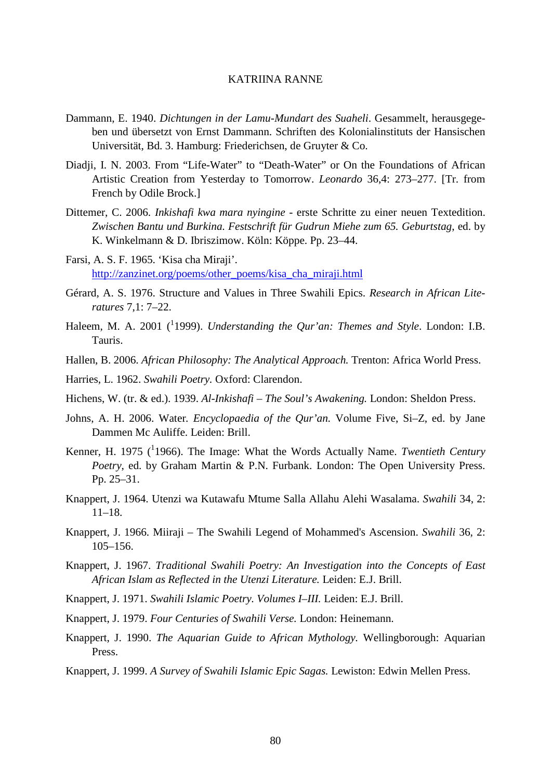- Dammann, E. 1940. *Dichtungen in der Lamu-Mundart des Suaheli*. Gesammelt, herausgegeben und übersetzt von Ernst Dammann. Schriften des Kolonialinstituts der Hansischen Universität, Bd. 3. Hamburg: Friederichsen, de Gruyter & Co.
- Diadji, I. N. 2003. From "Life-Water" to "Death-Water" or On the Foundations of African Artistic Creation from Yesterday to Tomorrow. *Leonardo* 36,4: 273–277. [Tr. from French by Odile Brock.]
- Dittemer, C. 2006. *Inkishafi kwa mara nyingine* erste Schritte zu einer neuen Textedition. *Zwischen Bantu und Burkina. Festschrift für Gudrun Miehe zum 65. Geburtstag*, ed. by K. Winkelmann & D. Ibriszimow. Köln: Köppe. Pp. 23–44.
- Farsi, A. S. F. 1965. 'Kisa cha Miraji'. http://zanzinet.org/poems/other\_poems/kisa\_cha\_miraji.html
- Gérard, A. S. 1976. Structure and Values in Three Swahili Epics. *Research in African Literatures* 7,1: 7–22.
- Haleem, M. A. 2001 (<sup>1</sup>1999). *Understanding the Qur'an: Themes and Style*. London: I.B. Tauris.
- Hallen, B. 2006. *African Philosophy: The Analytical Approach.* Trenton: Africa World Press.
- Harries, L. 1962. *Swahili Poetry.* Oxford: Clarendon.
- Hichens, W. (tr. & ed.). 1939. *Al-Inkishafi The Soul's Awakening.* London: Sheldon Press.
- Johns, A. H. 2006. Water*. Encyclopaedia of the Qur'an.* Volume Five, Si–Z, ed. by Jane Dammen Mc Auliffe. Leiden: Brill.
- Kenner, H. 1975 ( $1966$ ). The Image: What the Words Actually Name. *Twentieth Century Poetry*, ed. by Graham Martin & P.N. Furbank. London: The Open University Press. Pp. 25–31.
- Knappert, J. 1964. Utenzi wa Kutawafu Mtume Salla Allahu Alehi Wasalama. *Swahili* 34, 2: 11–18.
- Knappert, J. 1966. Miiraji The Swahili Legend of Mohammed's Ascension. *Swahili* 36, 2: 105–156.
- Knappert, J. 1967. *Traditional Swahili Poetry: An Investigation into the Concepts of East African Islam as Reflected in the Utenzi Literature.* Leiden: E.J. Brill.
- Knappert, J. 1971. *Swahili Islamic Poetry. Volumes I–III.* Leiden: E.J. Brill.
- Knappert, J. 1979. *Four Centuries of Swahili Verse.* London: Heinemann.
- Knappert, J. 1990. *The Aquarian Guide to African Mythology.* Wellingborough: Aquarian Press.
- Knappert, J. 1999. *A Survey of Swahili Islamic Epic Sagas.* Lewiston: Edwin Mellen Press.